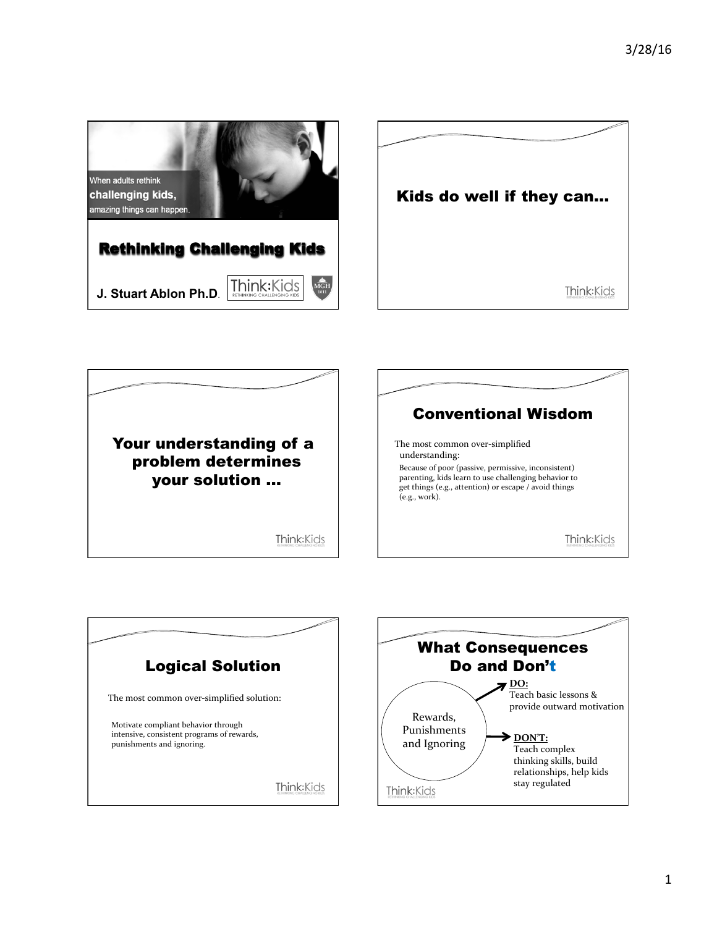







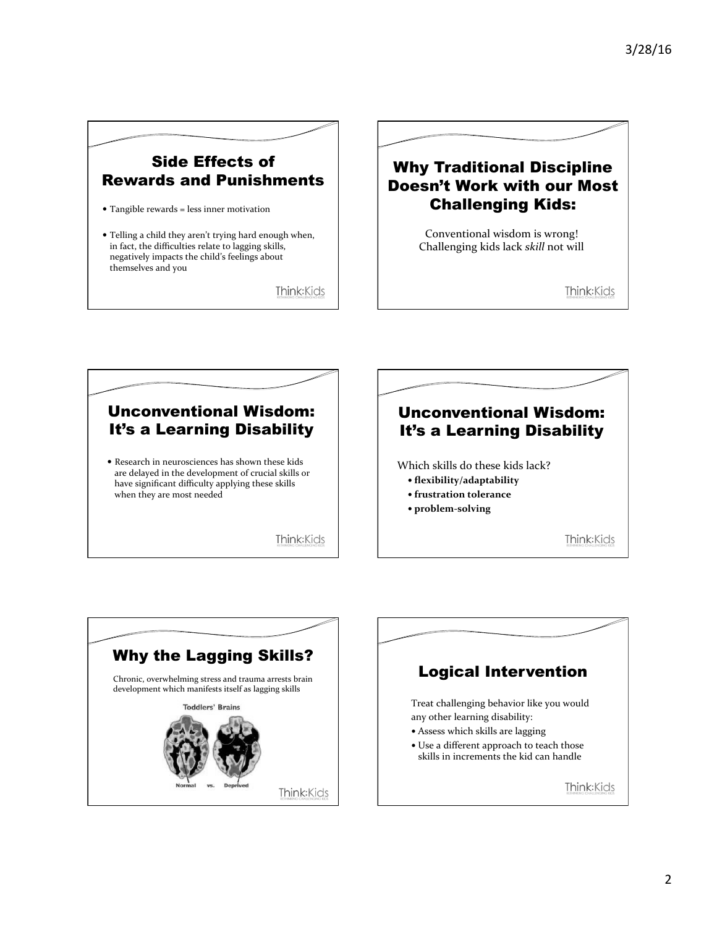## Side Effects of Rewards and Punishments

• Tangible rewards = less inner motivation

• Telling a child they aren't trying hard enough when, in fact, the difficulties relate to lagging skills, negatively impacts the child's feelings about themselves and you

Think: Kids

## Why Traditional Discipline Doesn't Work with our Most Challenging Kids:

Conventional wisdom is wrong! Challenging kids lack skill not will

Think:Kids

## Unconventional Wisdom: It's a Learning Disability

 $\bullet$  Research in neurosciences has shown these kids are delayed in the development of crucial skills or have significant difficulty applying these skills when they are most needed

Think: Kids



Which skills do these kids lack?

- **flexibility/adaptability**
- **frustration tolerance**
- **problem-solving**

Think:Kids



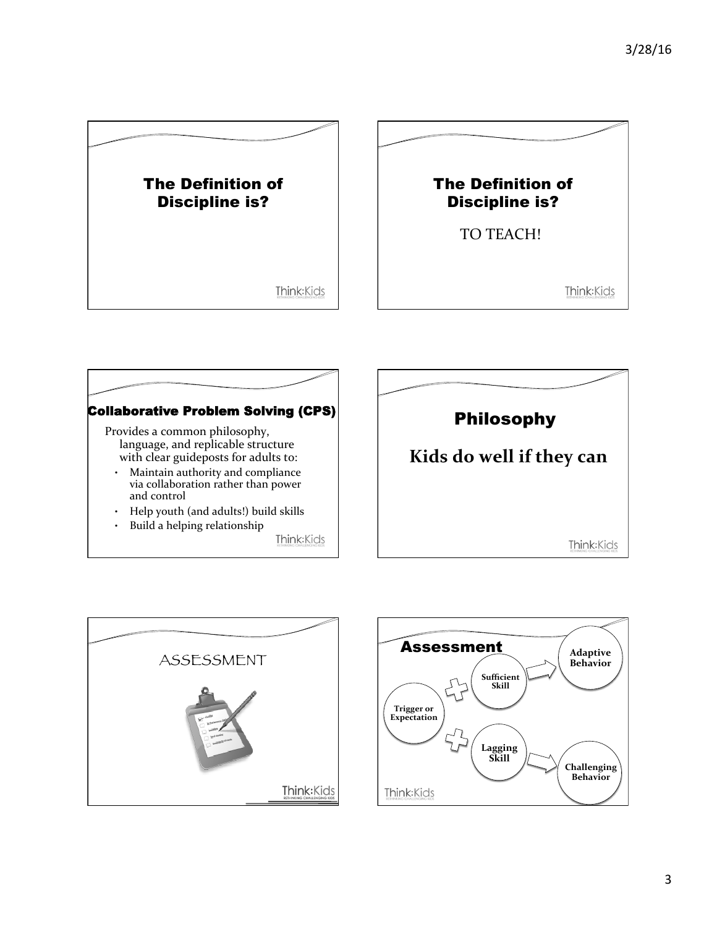





Think: Kids





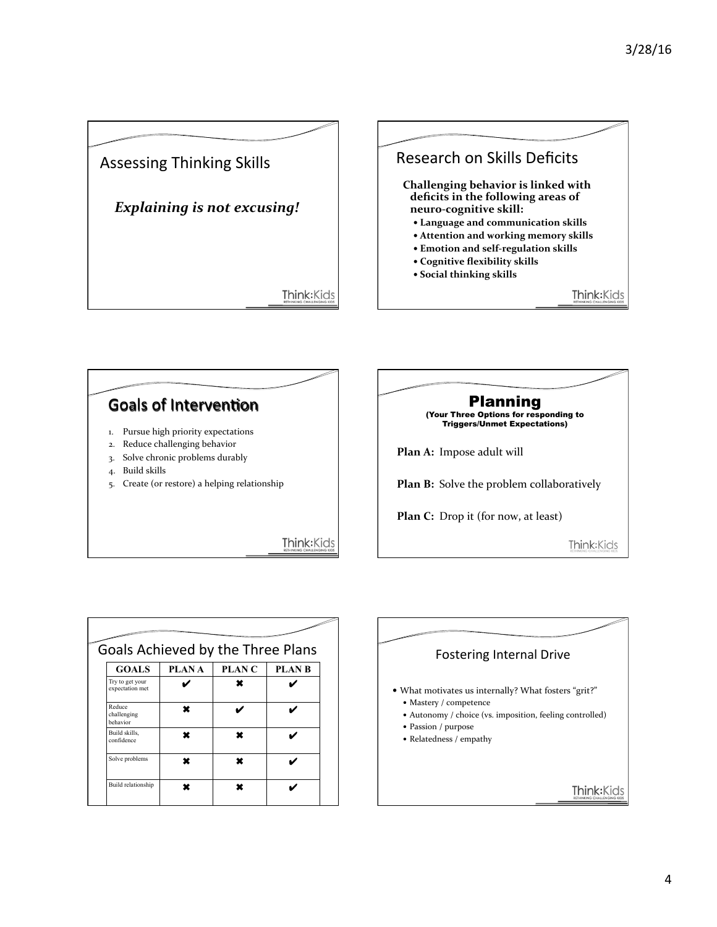





| <b>GOALS</b>                       | PLAN A | PLAN <sub>C</sub> | Goals Achieved by the Three Plans<br><b>PLAN B</b> |
|------------------------------------|--------|-------------------|----------------------------------------------------|
| Try to get your<br>expectation met |        | ×                 |                                                    |
| Reduce<br>challenging<br>behavior  | ×      |                   |                                                    |
| Build skills,<br>confidence        | ×      | ¥                 |                                                    |
| Solve problems                     |        |                   |                                                    |

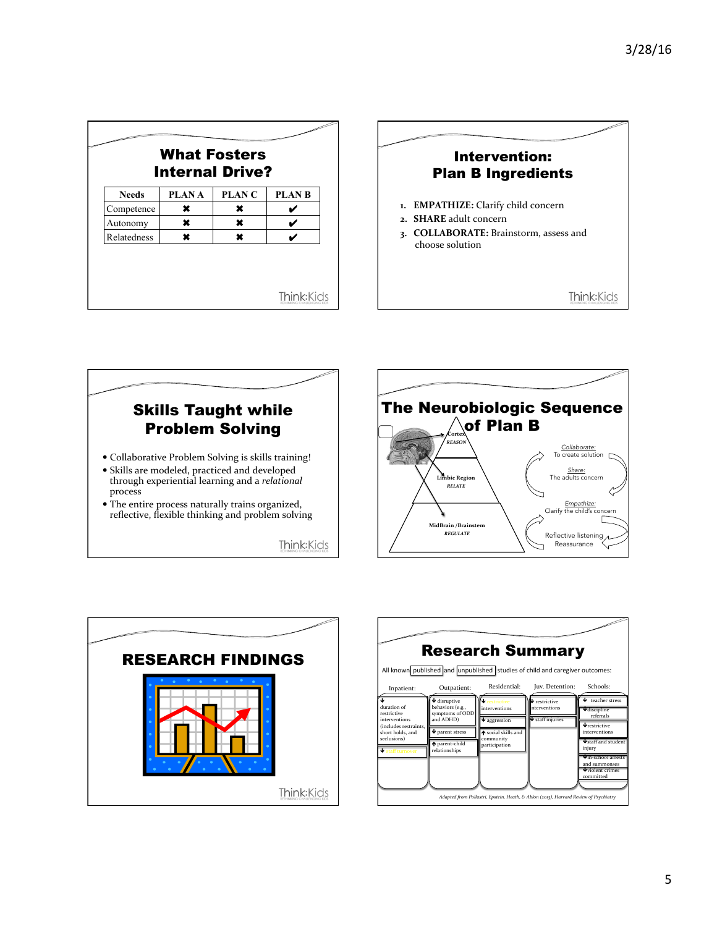| <b>What Fosters</b><br><b>Internal Drive?</b> |              |              |              |  |
|-----------------------------------------------|--------------|--------------|--------------|--|
| <b>Needs</b>                                  | <b>PLANA</b> | <b>PLANC</b> | <b>PLANB</b> |  |
| Competence                                    | ×            | ×            |              |  |
| Autonomy                                      | ×            | ×            |              |  |
| Relatedness                                   |              | ×            |              |  |